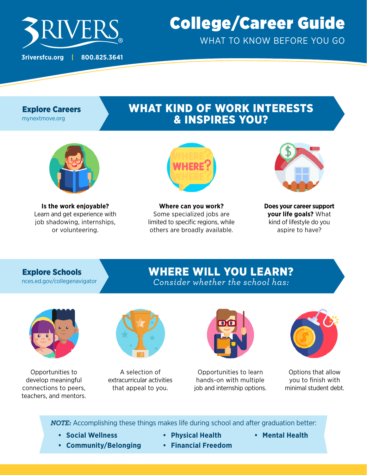

# College/Career Guide WHAT TO KNOW BEFORE YOU GO

### Explore Careers

[mynextmove.org](http://mynextmove.org)

## WHAT KIND OF WORK INTERESTS & INSPIRES YOU?



**Is the work enjoyable?** Learn and get experience with job shadowing, internships, or volunteering.



**Where can you work?** Some specialized jobs are limited to specific regions, while others are broadly available.



**Does your career support your life goals?** What kind of lifestyle do you aspire to have?

### Explore Schools

[nces.ed.gov/collegenavigator](https://nces.ed.gov/collegenavigator/)

### WHERE WILL YOU LEARN? *Consider whether the school has:*



Opportunities to develop meaningful connections to peers, teachers, and mentors.



A selection of extracurricular activities that appeal to you.



Opportunities to learn hands-on with multiple job and internship options.



Options that allow you to finish with minimal student debt.

*NOTE:* Accomplishing these things makes life during school and after graduation better:

- **• Social Wellness**
- **• Community/Belonging**
- **• Physical Health**
- **• Mental Health**
- **• Financial Freedom**
-